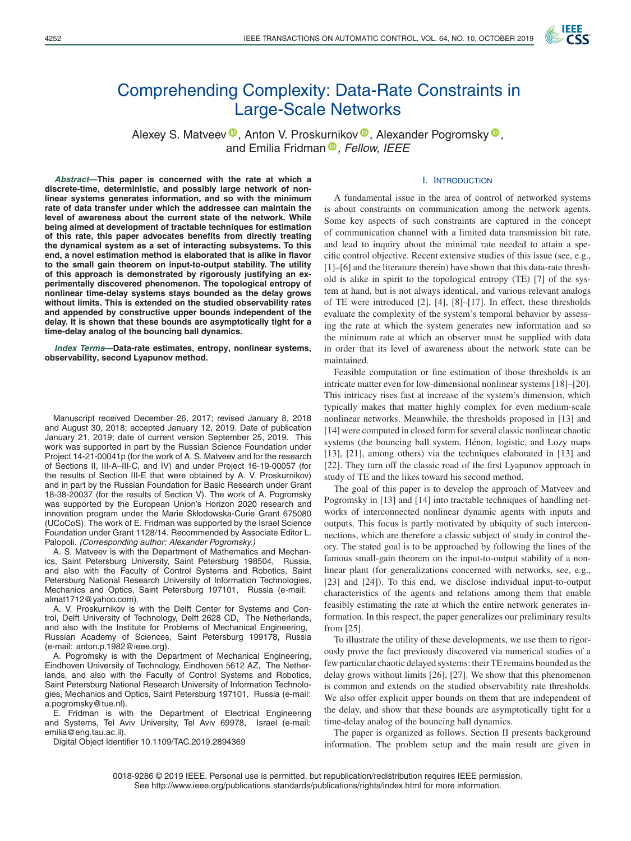

# Comprehending Complexity: Data-Rate Constraints in Large-Scale Networks

Alexey S. Matveev<sup>®</sup>[,](https://orcid.org/0000-0001-8755-9832) Anton V. Proskurnikov<sup>®</sup>, Alexander Pogromsky<sup>®</sup>, and Emilia Fridman<sup>®</sup>[,](https://orcid.org/0000-0002-8773-9494) Fellow, IEEE

#### I. INTRODUCTION

*Abstract***—This paper is concerned with the rate at which a discrete-time, deterministic, and possibly large network of nonlinear systems generates information, and so with the minimum rate of data transfer under which the addressee can maintain the level of awareness about the current state of the network. While being aimed at development of tractable techniques for estimation of this rate, this paper advocates benefits from directly treating the dynamical system as a set of interacting subsystems. To this end, a novel estimation method is elaborated that is alike in flavor to the small gain theorem on input-to-output stability. The utility of this approach is demonstrated by rigorously justifying an experimentally discovered phenomenon. The topological entropy of nonlinear time-delay systems stays bounded as the delay grows without limits. This is extended on the studied observability rates and appended by constructive upper bounds independent of the delay. It is shown that these bounds are asymptotically tight for a time-delay analog of the bouncing ball dynamics.**

*Index Terms***—Data-rate estimates, entropy, nonlinear systems, observability, second Lyapunov method.**

Manuscript received December 26, 2017; revised January 8, 2018 and August 30, 2018; accepted January 12, 2019. Date of publication January 21, 2019; date of current version September 25, 2019. This work was supported in part by the Russian Science Foundation under Project 14-21-00041p (for the work of A. S. Matveev and for the research of Sections II, III-A–III-C, and IV) and under Project 16-19-00057 (for the results of Section III-E that were obtained by A. V. Proskurnikov) and in part by the Russian Foundation for Basic Research under Grant 18-38-20037 (for the results of Section V). The work of A. Pogromsky was supported by the European Union's Horizon 2020 research and innovation program under the Marie Skłodowska-Curie Grant 675080 (UCoCoS). The work of E. Fridman was supported by the Israel Science Foundation under Grant 1128/14. Recommended by Associate Editor L. Palopoli. *(Corresponding author: Alexander Pogromsky.)*

A. S. Matveev is with the Department of Mathematics and Mechanics, Saint Petersburg University, Saint Petersburg 198504, Russia, and also with the Faculty of Control Systems and Robotics, Saint Petersburg National Research University of Information Technologies, Mechanics and Optics, Saint Petersburg 197101, Russia (e-mail: [almat1712@yahoo.com\)](mailto:almat1712@yahoo.com).

A. V. Proskurnikov is with the Delft Center for Systems and Control, Delft University of Technology, Delft 2628 CD, The Netherlands, and also with the Institute for Problems of Mechanical Engineering, Russian Academy of Sciences, Saint Petersburg 199178, Russia (e-mail: [anton.p.1982@ieee.org\)](mailto:anton.p.1982@ieee.org).

A. Pogromsky is with the Department of Mechanical Engineering, Eindhoven University of Technology, Eindhoven 5612 AZ, The Netherlands, and also with the Faculty of Control Systems and Robotics, Saint Petersburg National Research University of Information Technologies, Mechanics and Optics, Saint Petersburg 197101, Russia (e-mail: [a.pogromsky@tue.nl\)](mailto:a.pogromsky@tue.nl).

E. Fridman is with the Department of Electrical Engineering and Systems, Tel Aviv University, Tel Aviv 69978, Israel (e-mail: [emilia@eng.tau.ac.il\)](mailto:emilia@eng.tau.ac.il).

Digital Object Identifier 10.1109/TAC.2019.2894369

A fundamental issue in the area of control of networked systems is about constraints on communication among the network agents. Some key aspects of such constraints are captured in the concept of communication channel with a limited data transmission bit rate, and lead to inquiry about the minimal rate needed to attain a specific control objective. Recent extensive studies of this issue (see, e.g., [1]–[6] and the literature therein) have shown that this data-rate threshold is alike in spirit to the topological entropy (TE) [7] of the system at hand, but is not always identical, and various relevant analogs of TE were introduced [2], [4], [8]–[17]. In effect, these thresholds evaluate the complexity of the system's temporal behavior by assessing the rate at which the system generates new information and so the minimum rate at which an observer must be supplied with data in order that its level of awareness about the network state can be maintained.

Feasible computation or fine estimation of those thresholds is an intricate matter even for low-dimensional nonlinear systems [18]–[20]. This intricacy rises fast at increase of the system's dimension, which typically makes that matter highly complex for even medium-scale nonlinear networks. Meanwhile, the thresholds proposed in [13] and [14] were computed in closed form for several classic nonlinear chaotic systems (the bouncing ball system, Henon, logistic, and Lozy maps ´ [13], [21], among others) via the techniques elaborated in [13] and [22]. They turn off the classic road of the first Lyapunov approach in study of TE and the likes toward his second method.

The goal of this paper is to develop the approach of Matveev and Pogromsky in [13] and [14] into tractable techniques of handling networks of interconnected nonlinear dynamic agents with inputs and outputs. This focus is partly motivated by ubiquity of such interconnections, which are therefore a classic subject of study in control theory. The stated goal is to be approached by following the lines of the famous small-gain theorem on the input-to-output stability of a nonlinear plant (for generalizations concerned with networks, see, e.g., [23] and [24]). To this end, we disclose individual input-to-output characteristics of the agents and relations among them that enable feasibly estimating the rate at which the entire network generates information. In this respect, the paper generalizes our preliminary results from [25].

To illustrate the utility of these developments, we use them to rigorously prove the fact previously discovered via numerical studies of a few particular chaotic delayed systems: their TE remains bounded as the delay grows without limits [26], [27]. We show that this phenomenon is common and extends on the studied observability rate thresholds. We also offer explicit upper bounds on them that are independent of the delay, and show that these bounds are asymptotically tight for a time-delay analog of the bouncing ball dynamics.

The paper is organized as follows. Section II presents background information. The problem setup and the main result are given in

0018-9286 © 2019 IEEE. Personal use is permitted, but republication/redistribution requires IEEE permission. See http://www.ieee.org/publications standards/publications/rights/index.html for more information.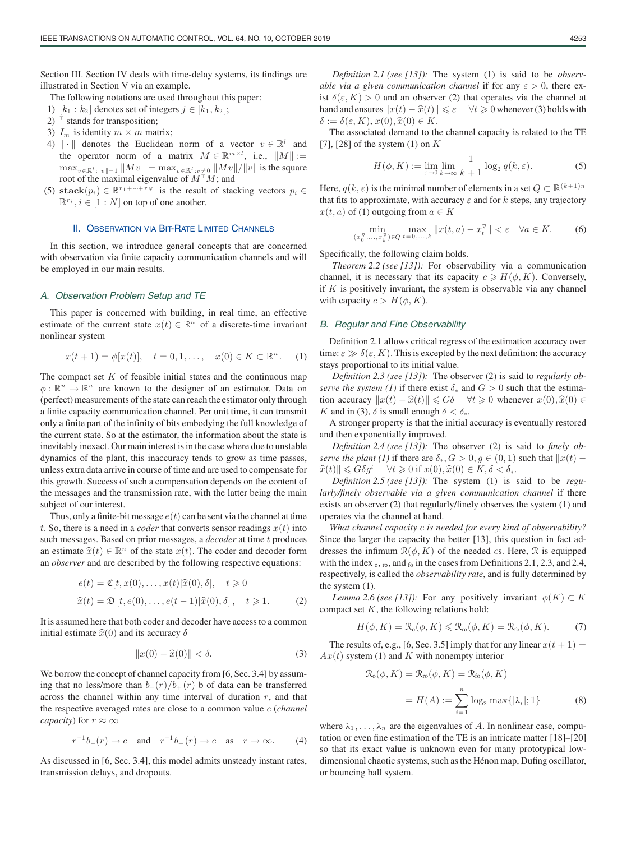Section III. Section IV deals with time-delay systems, its findings are illustrated in Section V via an example.

The following notations are used throughout this paper:

- 1)  $[k_1 : k_2]$  denotes set of integers  $j \in [k_1, k_2]$ ;
- 2)  $\top$  stands for transposition;
- 3)  $I_m$  is identity  $m \times m$  matrix;
- 4)  $\|\cdot\|$  denotes the Euclidean norm of a vector  $v \in \mathbb{R}^l$  and the operator norm of a matrix  $M \in \mathbb{R}^{m \times l}$ , i.e.,  $||M|| :=$  $\max_{v \in \mathbb{R}^l : ||v|| = 1} ||Mv|| = \max_{v \in \mathbb{R}^l :v \neq 0} ||Mv|| / ||v||$  is the square root of the maximal eigenvalue of  $M<sup>\dagger</sup>M$ ; and
- (5) **stack** $(p_i) \in \mathbb{R}^{r_1 + \dots + r_N}$  is the result of stacking vectors  $p_i \in$  $\mathbb{R}^{r_i}$ ,  $i \in [1:N]$  on top of one another.

#### II. OBSERVATION VIA BIT-RATE LIMITED CHANNELS

In this section, we introduce general concepts that are concerned with observation via finite capacity communication channels and will be employed in our main results.

#### *A. Observation Problem Setup and TE*

This paper is concerned with building, in real time, an effective estimate of the current state  $x(t) \in \mathbb{R}^n$  of a discrete-time invariant nonlinear system

$$
x(t+1) = \phi[x(t)], \quad t = 0, 1, \dots, \quad x(0) \in K \subset \mathbb{R}^n. \tag{1}
$$

The compact set  $K$  of feasible initial states and the continuous map  $\phi : \mathbb{R}^n \to \mathbb{R}^n$  are known to the designer of an estimator. Data on (perfect) measurements of the state can reach the estimator only through a finite capacity communication channel. Per unit time, it can transmit only a finite part of the infinity of bits embodying the full knowledge of the current state. So at the estimator, the information about the state is inevitably inexact. Our main interest is in the case where due to unstable dynamics of the plant, this inaccuracy tends to grow as time passes, unless extra data arrive in course of time and are used to compensate for this growth. Success of such a compensation depends on the content of the messages and the transmission rate, with the latter being the main subject of our interest.

Thus, only a finite-bit message  $e(t)$  can be sent via the channel at time t. So, there is a need in a *coder* that converts sensor readings  $x(t)$  into such messages. Based on prior messages, a *decoder* at time t produces an estimate  $\hat{x}(t) \in \mathbb{R}^n$  of the state  $x(t)$ . The coder and decoder form<br>an *observer* and are described by the following respective equations: an *observer* and are described by the following respective equations:

$$
e(t) = \mathfrak{C}[t, x(0), \dots, x(t) | \widehat{x}(0), \delta], \quad t \ge 0
$$
  

$$
\widehat{x}(t) = \mathfrak{D}[t, e(0), \dots, e(t-1) | \widehat{x}(0), \delta], \quad t \ge 1.
$$
 (2)

It is assumed here that both coder and decoder have access to a common initial estimate  $\hat{x}(0)$  and its accuracy  $\delta$ 

$$
||x(0) - \widehat{x}(0)|| < \delta.
$$
 (3)

We borrow the concept of channel capacity from [6, Sec. 3.4] by assuming that no less/more than  $b_-(r)/b_+(r)$  b of data can be transferred across the channel within any time interval of duration  $r$ , and that the respective averaged rates are close to a common value c (*channel capacity*) for  $r \approx \infty$ 

$$
r^{-1}b_-(r) \to c \quad \text{and} \quad r^{-1}b_+(r) \to c \quad \text{as} \quad r \to \infty. \tag{4}
$$

As discussed in [6, Sec. 3.4], this model admits unsteady instant rates, transmission delays, and dropouts.

*Definition 2.1 (see [13]):* The system (1) is said to be *observable via a given communication channel* if for any  $\varepsilon > 0$ , there exist  $\delta(\varepsilon, K) > 0$  and an observer (2) that operates via the channel at hand and ensures  $||x(t) - \hat{x}(t)|| \le \varepsilon \quad \forall t \ge 0$  whenever (3) holds with  $\delta := \delta(\varepsilon K) \cdot x(0) \hat{x}(0) \in K$  $\delta := \delta(\varepsilon, K), x(0), \hat{x}(0) \in K.$ <br>The associated demand to the

The associated demand to the channel capacity is related to the TE [7], [28] of the system  $(1)$  on  $K$ 

$$
H(\phi, K) := \lim_{\varepsilon \to 0} \overline{\lim_{k \to \infty}} \frac{1}{k+1} \log_2 q(k, \varepsilon).
$$
 (5)

Here,  $q(k, \varepsilon)$  is the minimal number of elements in a set  $Q \subset \mathbb{R}^{(k+1)n}$ that fits to approximate, with accuracy  $\varepsilon$  and for k steps, any trajectory  $x(t, a)$  of (1) outgoing from  $a \in K$ 

$$
\min_{(x_0^{\nabla}, \dots, x_k^{\nabla}) \in Q} \max_{t = 0, \dots, k} \|x(t, a) - x_t^{\nabla}\| < \varepsilon \quad \forall a \in K. \tag{6}
$$

Specifically, the following claim holds.

*Theorem 2.2 (see [13]):* For observability via a communication channel, it is necessary that its capacity  $c \geq H(\phi, K)$ . Conversely, if  $K$  is positively invariant, the system is observable via any channel with capacity  $c > H(\phi, K)$ .

#### *B. Regular and Fine Observability*

Definition 2.1 allows critical regress of the estimation accuracy over time:  $\varepsilon \gg \delta(\varepsilon, K)$ . This is excepted by the next definition: the accuracy stays proportional to its initial value.

*Definition 2.3 (see [13]):* The observer (2) is said to *regularly observe the system (1)* if there exist  $\delta_*$  and  $G > 0$  such that the estimation accuracy  $||x(t) - \hat{x}(t)|| \le G\delta \quad \forall t \ge 0$  whenever  $x(0), \hat{x}(0) \in K$  and in (3)  $\delta$  is small enough  $\delta < \delta$ . K and in (3),  $\delta$  is small enough  $\delta < \delta_*$ .

A stronger property is that the initial accuracy is eventually restored and then exponentially improved.

*Definition 2.4 (see [13]):* The observer (2) is said to *finely observe the plant (1)* if there are  $\delta_*, G > 0, g \in (0, 1)$  such that  $||x(t) \hat{x}(t) \leq G \delta g^t \quad \forall t \geq 0 \text{ if } x(0), \hat{x}(0) \in K, \delta < \delta_*$ .<br>
Definition 2.5 (see [131): The system (1) is

*Definition 2.5 (see [13]):* The system (1) is said to be *regularly/finely observable via a given communication channel* if there exists an observer (2) that regularly/finely observes the system (1) and operates via the channel at hand.

*What channel capacity* c *is needed for every kind of observability?* Since the larger the capacity the better [13], this question in fact addresses the infimum  $\mathcal{R}(\phi, K)$  of the needed *cs*. Here,  $\mathcal{R}$  is equipped with the index  $_{0}$ ,  $_{ro}$ , and  $_{fo}$  in the cases from Definitions 2.1, 2.3, and 2.4, respectively, is called the *observability rate*, and is fully determined by the system (1).

*Lemma 2.6 (see [13]):* For any positively invariant  $\phi(K) \subset K$ compact set  $K$ , the following relations hold:

$$
H(\phi, K) = \mathcal{R}_{\text{o}}(\phi, K) \leq \mathcal{R}_{\text{ro}}(\phi, K) = \mathcal{R}_{\text{fo}}(\phi, K). \tag{7}
$$

The results of, e.g., [6, Sec. 3.5] imply that for any linear  $x(t + 1) =$  $Ax(t)$  system (1) and K with nonempty interior

$$
\mathcal{R}_{o}(\phi, K) = \mathcal{R}_{ro}(\phi, K) = \mathcal{R}_{ro}(\phi, K)
$$

$$
= H(A) := \sum_{i=1}^{n} \log_2 \max\{|\lambda_i|; 1\}
$$
(8)

where  $\lambda_1, \ldots, \lambda_n$  are the eigenvalues of A. In nonlinear case, computation or even fine estimation of the TE is an intricate matter [18]–[20] so that its exact value is unknown even for many prototypical lowdimensional chaotic systems, such as the Hénon map, Dufing oscillator, or bouncing ball system.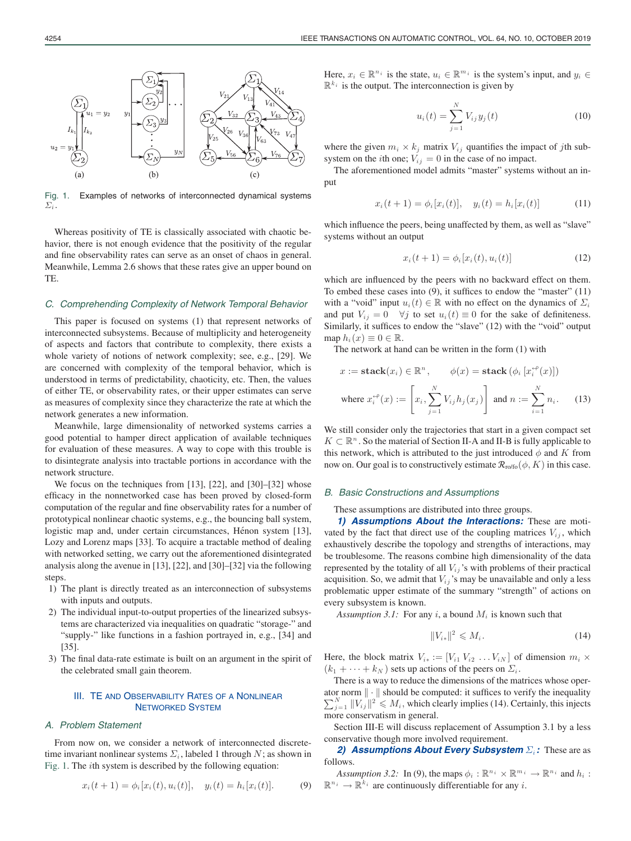

Fig. 1. Examples of networks of interconnected dynamical systems  $\Sigma_i$ .

Whereas positivity of TE is classically associated with chaotic behavior, there is not enough evidence that the positivity of the regular and fine observability rates can serve as an onset of chaos in general. Meanwhile, Lemma 2.6 shows that these rates give an upper bound on TE.

#### *C. Comprehending Complexity of Network Temporal Behavior*

This paper is focused on systems (1) that represent networks of interconnected subsystems. Because of multiplicity and heterogeneity of aspects and factors that contribute to complexity, there exists a whole variety of notions of network complexity; see, e.g., [29]. We are concerned with complexity of the temporal behavior, which is understood in terms of predictability, chaoticity, etc. Then, the values of either TE, or observability rates, or their upper estimates can serve as measures of complexity since they characterize the rate at which the network generates a new information.

Meanwhile, large dimensionality of networked systems carries a good potential to hamper direct application of available techniques for evaluation of these measures. A way to cope with this trouble is to disintegrate analysis into tractable portions in accordance with the network structure.

We focus on the techniques from [13], [22], and [30]–[32] whose efficacy in the nonnetworked case has been proved by closed-form computation of the regular and fine observability rates for a number of prototypical nonlinear chaotic systems, e.g., the bouncing ball system, logistic map and, under certain circumstances, Hénon system [13], Lozy and Lorenz maps [33]. To acquire a tractable method of dealing with networked setting, we carry out the aforementioned disintegrated analysis along the avenue in [13], [22], and [30]–[32] via the following steps.

- 1) The plant is directly treated as an interconnection of subsystems with inputs and outputs.
- 2) The individual input-to-output properties of the linearized subsystems are characterized via inequalities on quadratic "storage-" and "supply-" like functions in a fashion portrayed in, e.g., [34] and [35].
- 3) The final data-rate estimate is built on an argument in the spirit of the celebrated small gain theorem.

# III. TE AND OBSERVABILITY RATES OF A NONLINEAR NETWORKED SYSTEM

## *A. Problem Statement*

From now on, we consider a network of interconnected discretetime invariant nonlinear systems  $\Sigma_i$ , labeled 1 through N; as shown in Fig. 1. The ith system is described by the following equation:

$$
x_i(t+1) = \phi_i[x_i(t), u_i(t)], \quad y_i(t) = h_i[x_i(t)]. \tag{9}
$$

Here,  $x_i \in \mathbb{R}^{n_i}$  is the state,  $u_i \in \mathbb{R}^{m_i}$  is the system's input, and  $y_i \in$  $\mathbb{R}^{k_i}$  is the output. The interconnection is given by

$$
u_i(t) = \sum_{j=1}^{N} V_{ij} y_j(t)
$$
 (10)

where the given  $m_i \times k_j$  matrix  $V_{ij}$  quantifies the impact of jth subsystem on the *i*th one;  $V_{ij} = 0$  in the case of no impact.

The aforementioned model admits "master" systems without an input

$$
x_i(t+1) = \phi_i[x_i(t)], \quad y_i(t) = h_i[x_i(t)] \tag{11}
$$

which influence the peers, being unaffected by them, as well as "slave" systems without an output

$$
x_i(t+1) = \phi_i[x_i(t), u_i(t)] \tag{12}
$$

which are influenced by the peers with no backward effect on them. To embed these cases into (9), it suffices to endow the "master" (11) with a "void" input  $u_i(t) \in \mathbb{R}$  with no effect on the dynamics of  $\Sigma_i$ and put  $V_{ij} = 0 \quad \forall j$  to set  $u_i(t) \equiv 0$  for the sake of definiteness. Similarly, it suffices to endow the "slave" (12) with the "void" output map  $h_i(x) \equiv 0 \in \mathbb{R}$ .

The network at hand can be written in the form (1) with

$$
x := \mathbf{stack}(x_i) \in \mathbb{R}^n, \qquad \phi(x) = \mathbf{stack}(\phi_i [x_i^{+\rho}(x)])
$$
  
where  $x_i^{+\rho}(x) := \left[x_i, \sum_{j=1}^N V_{ij} h_j(x_j)\right]$  and  $n := \sum_{i=1}^N n_i$ . (13)

We still consider only the trajectories that start in a given compact set  $K \subset \mathbb{R}^n$ . So the material of Section II-A and II-B is fully applicable to this network, which is attributed to the just introduced  $\phi$  and K from now on. Our goal is to constructively estimate  $\mathcal{R}_{\text{ro/fo}}(\phi, K)$  in this case.

## *B. Basic Constructions and Assumptions*

#### These assumptions are distributed into three groups.

*1) Assumptions About the Interactions:* These are motivated by the fact that direct use of the coupling matrices  $V_{ij}$ , which exhaustively describe the topology and strengths of interactions, may be troublesome. The reasons combine high dimensionality of the data represented by the totality of all  $V_{ij}$ 's with problems of their practical acquisition. So, we admit that  $V_{ij}$ 's may be unavailable and only a less problematic upper estimate of the summary "strength" of actions on every subsystem is known.

*Assumption 3.1:* For any i, a bound  $M_i$  is known such that

$$
||V_{i*}||^2 \leqslant M_i. \tag{14}
$$

Here, the block matrix  $V_{i*} := [V_{i1} V_{i2} \dots V_{iN}]$  of dimension  $m_i \times$  $(k_1 + \cdots + k_N)$  sets up actions of the peers on  $\Sigma_i$ .

There is a way to reduce the dimensions of the matrices whose oper-  $\sum_{j=1}^{N} ||V_{ij}||^2 \leq M_i$ , which clearly implies (14). Certainly, this injects ator norm  $\|\cdot\|$  should be computed: it suffices to verify the inequality more conservatism in general.

Section III-E will discuss replacement of Assumption 3.1 by a less conservative though more involved requirement.

**2) Assumptions About Every Subsystem**  $\Sigma_i$ : These are as follows.

*Assumption 3.2:* In (9), the maps  $\phi_i : \mathbb{R}^{n_i} \times \mathbb{R}^{m_i} \to \mathbb{R}^{n_i}$  and  $h_i$ :  $\mathbb{R}^{n_i} \to \mathbb{R}^{k_i}$  are continuously differentiable for any *i*.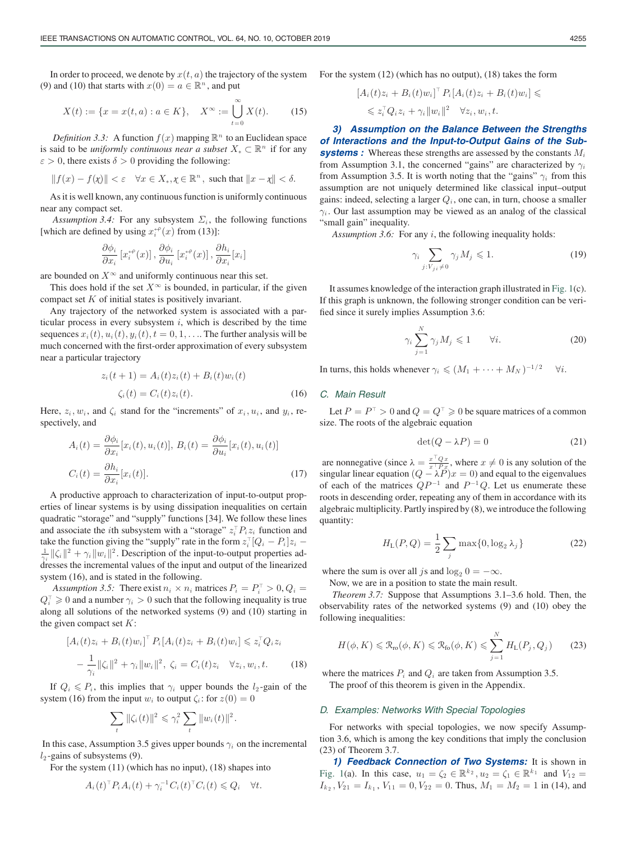In order to proceed, we denote by  $x(t, a)$  the trajectory of the system (9) and (10) that starts with  $x(0) = a \in \mathbb{R}^n$ , and put

$$
X(t) := \{ x = x(t, a) : a \in K \}, \quad X^{\infty} := \bigcup_{t=0}^{\infty} X(t). \tag{15}
$$

*Definition 3.3:* A function  $f(x)$  mapping  $\mathbb{R}^n$  to an Euclidean space is said to be *uniformly continuous near a subset*  $X_* \subset \mathbb{R}^n$  if for any  $\varepsilon > 0$ , there exists  $\delta > 0$  providing the following:

$$
||f(x) - f(\chi)|| < \varepsilon \quad \forall x \in X_*, \chi \in \mathbb{R}^n, \text{ such that } ||x - \chi|| < \delta.
$$

As it is well known, any continuous function is uniformly continuous near any compact set.

*Assumption 3.4:* For any subsystem  $\Sigma_i$ , the following functions [which are defined by using  $x_i^{+}(x)$  from (13)]:

$$
\frac{\partial \phi_i}{\partial x_i} \left[ x_i^{+e}(x) \right], \frac{\partial \phi_i}{\partial u_i} \left[ x_i^{+e}(x) \right], \frac{\partial h_i}{\partial x_i} [x_i]
$$

are bounded on  $X^{\infty}$  and uniformly continuous near this set.

This does hold if the set  $X^{\infty}$  is bounded, in particular, if the given compact set  $K$  of initial states is positively invariant.

Any trajectory of the networked system is associated with a particular process in every subsystem  $i$ , which is described by the time sequences  $x_i(t)$ ,  $u_i(t)$ ,  $y_i(t)$ ,  $t = 0, 1, \ldots$  The further analysis will be much concerned with the first-order approximation of every subsystem near a particular trajectory

$$
z_i(t+1) = A_i(t)z_i(t) + B_i(t)w_i(t)
$$
  

$$
\zeta_i(t) = C_i(t)z_i(t).
$$
 (16)

Here,  $z_i$ ,  $w_i$ , and  $\zeta_i$  stand for the "increments" of  $x_i$ ,  $u_i$ , and  $y_i$ , respectively, and

$$
A_i(t) = \frac{\partial \phi_i}{\partial x_i} [x_i(t), u_i(t)], B_i(t) = \frac{\partial \phi_i}{\partial u_i} [x_i(t), u_i(t)]
$$
  

$$
C_i(t) = \frac{\partial h_i}{\partial x_i} [x_i(t)].
$$
 (17)

A productive approach to characterization of input-to-output properties of linear systems is by using dissipation inequalities on certain quadratic "storage" and "supply" functions [34]. We follow these lines and associate the *i*th subsystem with a "storage"  $z_i^{\top} P_i z_i$  function and take the function giving the "supply" rate in the form  $z_i^{\top}[Q_i - P_i]z_i -$ <br> $\frac{1}{\sqrt{2}}$   $\frac{||Z_i||^2}{||Z_i||^2}$  Description of the input to output properties ad  $\frac{1}{\gamma_i}$   $\|\zeta_i\|^2 + \gamma_i \|w_i\|^2$ . Description of the input-to-output properties addresses the incremental values of the input and output of the linearized system (16), and is stated in the following.

Assumption 3.5: There exist  $n_i \times n_i$  matrices  $P_i = P_i^{\top} > 0$ ,  $Q_i =$  $Q_i^{\dagger} \geq 0$  and a number  $\gamma_i > 0$  such that the following inequality is true along all solutions of the networked systems (9) and (10) starting in the given compact set  $K$ :

$$
[A_i(t)z_i + B_i(t)w_i]^T P_i [A_i(t)z_i + B_i(t)w_i] \leq z_i^T Q_i z_i
$$
  

$$
-\frac{1}{\gamma_i} \|\zeta_i\|^2 + \gamma_i \|w_i\|^2, \ \zeta_i = C_i(t)z_i \quad \forall z_i, w_i, t. \tag{18}
$$

If  $Q_i \n\t\le P_i$ , this implies that  $\gamma_i$  upper bounds the  $l_2$ -gain of the system (16) from the input  $w_i$  to output  $\zeta_i$ : for  $z(0) = 0$ 

$$
\sum_{t} \|\zeta_i(t)\|^2 \leq \gamma_i^2 \sum_{t} \|w_i(t)\|^2.
$$

In this case, Assumption 3.5 gives upper bounds  $\gamma_i$  on the incremental  $l_2$ -gains of subsystems (9).

For the system (11) (which has no input), (18) shapes into

$$
A_i(t)^{\top} P_i A_i(t) + \gamma_i^{-1} C_i(t)^{\top} C_i(t) \leq Q_i \quad \forall t.
$$

For the system (12) (which has no output), (18) takes the form

$$
[A_i(t)z_i + B_i(t)w_i]^{\top} P_i[A_i(t)z_i + B_i(t)w_i] \leq
$$
  

$$
\leq z_i^{\top} Q_i z_i + \gamma_i \|w_i\|^2 \quad \forall z_i, w_i, t.
$$

*3) Assumption on the Balance Between the Strengths of Interactions and the Input-to-Output Gains of the Sub***systems :** Whereas these strengths are assessed by the constants  $M_i$ from Assumption 3.1, the concerned "gains" are characterized by  $\gamma_i$ from Assumption 3.5. It is worth noting that the "gains"  $\gamma_i$  from this assumption are not uniquely determined like classical input–output gains: indeed, selecting a larger  $Q_i$ , one can, in turn, choose a smaller  $\gamma_i$ . Our last assumption may be viewed as an analog of the classical "small gain" inequality.

*Assumption 3.6:* For any i, the following inequality holds:

$$
\gamma_i \sum_{j: V_{ji} \neq 0} \gamma_j M_j \leq 1. \tag{19}
$$

It assumes knowledge of the interaction graph illustrated in Fig. 1(c). If this graph is unknown, the following stronger condition can be verified since it surely implies Assumption 3.6:

$$
\gamma_i \sum_{j=1}^N \gamma_j M_j \leq 1 \qquad \forall i. \tag{20}
$$

In turns, this holds whenever  $\gamma_i \leq (M_1 + \cdots + M_N)^{-1/2}$   $\forall i$ .

# *C. Main Result*

Let  $P = P^{\top} > 0$  and  $Q = Q^{\top} \geqslant 0$  be square matrices of a common size. The roots of the algebraic equation

$$
\det(Q - \lambda P) = 0 \tag{21}
$$

are nonnegative (since  $\lambda = \frac{x^\top Q x}{x^\top P x}$ , where  $x \neq 0$  is any solution of the singular linear equation  $(Q - \lambda P)x = 0$  and equal to the eigenvalues of each of the matrices  $QP^{-1}$  and  $P^{-1}Q$ . Let us enumerate these roots in descending order, repeating any of them in accordance with its algebraic multiplicity. Partly inspired by (8), we introduce the following quantity:

$$
H_{\rm L}(P,Q) = \frac{1}{2} \sum_{j} \max\{0, \log_2 \lambda_j\}
$$
 (22)

where the sum is over all js and  $log_2 0 = -\infty$ .

Now, we are in a position to state the main result.

*Theorem 3.7:* Suppose that Assumptions 3.1–3.6 hold. Then, the observability rates of the networked systems (9) and (10) obey the following inequalities:

$$
H(\phi, K) \leq \mathcal{R}_{\text{ro}}(\phi, K) \leq \mathcal{R}_{\text{fo}}(\phi, K) \leq \sum_{j=1}^{N} H_{\text{L}}(P_j, Q_j)
$$
 (23)

where the matrices  $P_i$  and  $Q_i$  are taken from Assumption 3.5. The proof of this theorem is given in the Appendix.

#### *D. Examples: Networks With Special Topologies*

For networks with special topologies, we now specify Assumption 3.6, which is among the key conditions that imply the conclusion (23) of Theorem 3.7.

*1) Feedback Connection of Two Systems:* It is shown in Fig. 1(a). In this case,  $u_1 = \zeta_2 \in \mathbb{R}^{k_2}$ ,  $u_2 = \zeta_1 \in \mathbb{R}^{k_1}$  and  $V_{12} =$  $I_{k_2}$ ,  $V_{21} = I_{k_1}$ ,  $V_{11} = 0$ ,  $V_{22} = 0$ . Thus,  $M_1 = M_2 = 1$  in (14), and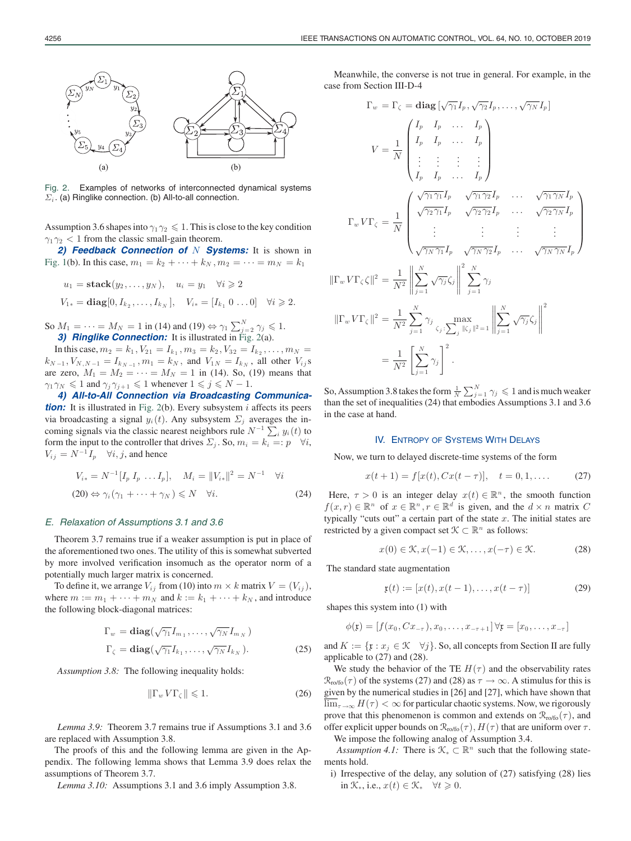

Fig. 2. Examples of networks of interconnected dynamical systems  $\Sigma_i$ . (a) Ringlike connection. (b) All-to-all connection.

Assumption 3.6 shapes into  $\gamma_1 \gamma_2 \leq 1$ . This is close to the key condition  $\gamma_1\gamma_2 < 1$  from the classic small-gain theorem.

2) Feedback Connection of N Systems: It is shown in Fig. 1(b). In this case,  $m_1 = k_2 + \cdots + k_N$ ,  $m_2 = \cdots = m_N = k_1$ 

$$
u_1 = \text{stack}(y_2, ..., y_N), \quad u_i = y_1 \quad \forall i \geq 2
$$
  
 $V_{1*} = \text{diag}[0, I_{k_2}, ..., I_{k_N}], \quad V_{i*} = [I_{k_1} \ 0 \dots 0] \quad \forall i \geq 2.$ 

So  $M_1 = \cdots = M_N = 1$  in (14) and (19)  $\Leftrightarrow \gamma_1 \sum_{j=2}^N \gamma_j \leq 1$ . **3) Ringlike Connection:** It is illustrated in Fig. 2(a).

In this case,  $m_2 = k_1, V_{21} = I_{k_1}, m_3 = k_2, V_{32} = I_{k_2}, \ldots, m_N =$  $k_{N-1}, V_{N,N-1} = I_{k_{N-1}}, m_1 = k_N$ , and  $V_{1N} = I_{k_N}$ , all other  $V_{ij}$ s are zero,  $M_1 = M_2 = \cdots = M_N = 1$  in (14). So, (19) means that  $\gamma_1 \gamma_N \leq 1$  and  $\gamma_j \gamma_{j+1} \leq 1$  whenever  $1 \leq j \leq N - 1$ .

*4) All-to-All Connection via Broadcasting Communica***tion:** It is illustrated in Fig. 2(b). Every subsystem *i* affects its peers via broadcasting a signal  $y_i(t)$ . Any subsystem  $\Sigma_j$  averages the incoming signals via the classic nearest neighbors rule  $N^{-1} \sum_i y_i(t)$  to form the input to the controller that drives  $\Sigma_j$ . So,  $m_i = k_i =: p \quad \forall i$ ,  $V_{ij} = N^{-1} I_p \quad \forall i, j$ , and hence

$$
V_{i*} = N^{-1} [I_p I_p \dots I_p], \quad M_i = ||V_{i*}||^2 = N^{-1} \quad \forall i
$$
  
(20)  $\Leftrightarrow \gamma_i (\gamma_1 + \dots + \gamma_N) \le N \quad \forall i.$  (24)

#### *E. Relaxation of Assumptions 3.1 and 3.6*

Theorem 3.7 remains true if a weaker assumption is put in place of the aforementioned two ones. The utility of this is somewhat subverted by more involved verification insomuch as the operator norm of a potentially much larger matrix is concerned.

To define it, we arrange  $V_{ij}$  from (10) into  $m \times k$  matrix  $V = (V_{ij})$ , where  $m := m_1 + \cdots + m_N$  and  $k := k_1 + \cdots + k_N$ , and introduce the following block-diagonal matrices:

$$
\Gamma_w = \mathbf{diag}(\sqrt{\gamma_1} I_{m_1}, \dots, \sqrt{\gamma_N} I_{m_N})
$$
  

$$
\Gamma_{\zeta} = \mathbf{diag}(\sqrt{\gamma_1} I_{k_1}, \dots, \sqrt{\gamma_N} I_{k_N}).
$$
 (25)

*Assumption 3.8:* The following inequality holds:

$$
\|\Gamma_w V \Gamma_\zeta\| \leqslant 1. \tag{26}
$$

*Lemma 3.9:* Theorem 3.7 remains true if Assumptions 3.1 and 3.6 are replaced with Assumption 3.8.

The proofs of this and the following lemma are given in the Appendix. The following lemma shows that Lemma 3.9 does relax the assumptions of Theorem 3.7.

*Lemma 3.10:* Assumptions 3.1 and 3.6 imply Assumption 3.8.

Meanwhile, the converse is not true in general. For example, in the case from Section III-D-4

$$
\Gamma_w = \Gamma_{\zeta} = \text{diag}\left[\sqrt{\gamma_1}I_p, \sqrt{\gamma_2}I_p, \dots, \sqrt{\gamma_N}I_p\right]
$$

$$
V = \frac{1}{N} \begin{pmatrix} I_p & I_p & \dots & I_p \\ I_p & I_p & \dots & I_p \\ \vdots & \vdots & \vdots & \vdots \\ I_p & I_p & \dots & I_p \end{pmatrix}
$$

$$
\Gamma_w V \Gamma_{\zeta} = \frac{1}{N} \begin{pmatrix} \sqrt{\gamma_1 \gamma_1}I_p & \sqrt{\gamma_1 \gamma_2}I_p & \dots & \sqrt{\gamma_1 \gamma_N}I_p \\ \sqrt{\gamma_2 \gamma_1}I_p & \sqrt{\gamma_2 \gamma_2}I_p & \dots & \sqrt{\gamma_2 \gamma_N}I_p \\ \vdots & \vdots & \vdots & \vdots \\ \sqrt{\gamma_N \gamma_1}I_p & \sqrt{\gamma_N \gamma_2}I_p & \dots & \sqrt{\gamma_N \gamma_N}I_p \end{pmatrix}
$$

$$
\|\Gamma_w V \Gamma_{\zeta}\|^2 = \frac{1}{N^2} \begin{pmatrix} \frac{N}{N} \\ \frac{N}{N^2} \end{pmatrix} \sqrt{\gamma_j} \zeta_j \begin{pmatrix} \frac{2}{N} \\ \frac{N}{N^2} \end{pmatrix}
$$

$$
= \frac{1}{N^2} \sum_{j=1}^N \gamma_j \sum_{j \in \zeta_j} \max_{\zeta_j : \sum_j |\zeta_j|^2 = 1} \left\| \sum_{j=1}^N \sqrt{\gamma_j} \zeta_j \right\|^2
$$

$$
= \frac{1}{N^2} \left[ \sum_{j=1}^N \gamma_j \right]^2.
$$

So, Assumption 3.8 takes the form  $\frac{1}{N} \sum_{j=1}^{N} \gamma_j \leq 1$  and is much weaker than the set of inequalities (24) that embodies Assumptions 3.1 and 3.6 in the case at hand.

#### IV. ENTROPY OF SYSTEMS WITH DELAYS

Now, we turn to delayed discrete-time systems of the form

$$
x(t+1) = f[x(t), Cx(t-\tau)], \quad t = 0, 1, .... \tag{27}
$$

Here,  $\tau > 0$  is an integer delay  $x(t) \in \mathbb{R}^n$ , the smooth function  $f(x, r) \in \mathbb{R}^n$  of  $x \in \mathbb{R}^n, r \in \mathbb{R}^d$  is given, and the  $d \times n$  matrix C typically "cuts out" a certain part of the state  $x$ . The initial states are restricted by a given compact set  $\mathcal{K} \subset \mathbb{R}^n$  as follows:

$$
x(0) \in \mathcal{K}, x(-1) \in \mathcal{K}, \dots, x(-\tau) \in \mathcal{K}.
$$
 (28)

The standard state augmentation

$$
\mathfrak{x}(t) := [x(t), x(t-1), \dots, x(t-\tau)] \tag{29}
$$

shapes this system into (1) with

$$
\phi(\mathfrak{x}) = [f(x_0, Cx_{-\tau}), x_0, \dots, x_{-\tau+1}] \,\forall \mathfrak{x} = [x_0, \dots, x_{-\tau}]
$$

and  $K := \{x : x_j \in \mathcal{K} \quad \forall j\}$ . So, all concepts from Section II are fully applicable to (27) and (28).

We study the behavior of the TE  $H(\tau)$  and the observability rates  $\mathcal{R}_{\text{ro/fo}}(\tau)$  of the systems (27) and (28) as  $\tau \to \infty$ . A stimulus for this is given by the numerical studies in [26] and [27], which have shown that  $\lim_{\tau \to \infty} H(\tau) < \infty$  for particular chaotic systems. Now, we rigorously prove that this phenomenon is common and extends on  $\mathcal{R}_{\text{ro/fo}}(\tau)$ , and offer explicit upper bounds on  $\mathcal{R}_{\text{ro/fo}}(\tau)$ ,  $H(\tau)$  that are uniform over  $\tau$ . We impose the following analog of Assumption 3.4.

*Assumption 4.1:* There is  $\mathcal{K}_{*} \subset \mathbb{R}^{n}$  such that the following statements hold.

i) Irrespective of the delay, any solution of (27) satisfying (28) lies in  $\mathcal{K}_*$ , i.e.,  $x(t) \in \mathcal{K}_* \quad \forall t \geq 0$ .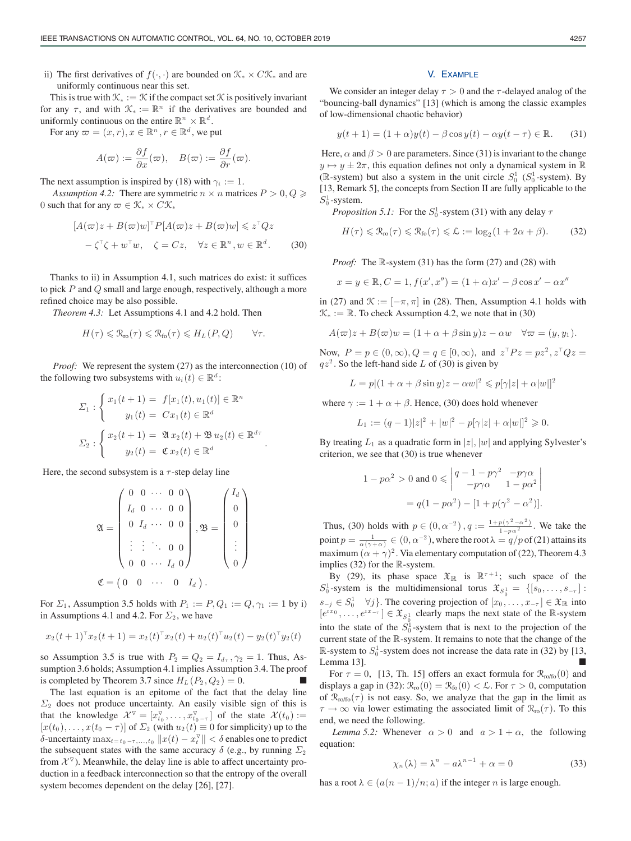ii) The first derivatives of  $f(\cdot, \cdot)$  are bounded on  $\mathcal{K}_{*} \times C\mathcal{K}_{*}$  and are uniformly continuous near this set.

This is true with  $\mathcal{K}_{*} := \mathcal{K}$  if the compact set  $\mathcal{K}$  is positively invariant for any  $\tau$ , and with  $\mathcal{K}_* := \mathbb{R}^n$  if the derivatives are bounded and uniformly continuous on the entire  $\mathbb{R}^n \times \mathbb{R}^d$ .

For any  $\varpi = (x, r), x \in \mathbb{R}^n, r \in \mathbb{R}^d$ , we put

$$
A(\varpi) := \frac{\partial f}{\partial x}(\varpi), \quad B(\varpi) := \frac{\partial f}{\partial r}(\varpi).
$$

The next assumption is inspired by (18) with  $\gamma_i := 1$ .

*Assumption 4.2:* There are symmetric  $n \times n$  matrices  $P > 0, Q \geq 0$ 0 such that for any  $\varpi \in \mathcal{K}_* \times C\mathcal{K}_*$ 

$$
[A(\varpi)z + B(\varpi)w]^{\top} P[A(\varpi)z + B(\varpi)w] \leq z^{\top} Q z
$$

$$
-\zeta^{\top} \zeta + w^{\top} w, \quad \zeta = C z, \quad \forall z \in \mathbb{R}^{n}, w \in \mathbb{R}^{d}.
$$
 (30)

Thanks to ii) in Assumption 4.1, such matrices do exist: it suffices to pick  $P$  and  $Q$  small and large enough, respectively, although a more refined choice may be also possible.

*Theorem 4.3:* Let Assumptions 4.1 and 4.2 hold. Then

$$
H(\tau) \leq \mathcal{R}_{\text{ro}}(\tau) \leq \mathcal{R}_{\text{fo}}(\tau) \leq H_L(P,Q) \qquad \forall \tau.
$$

*Proof:* We represent the system (27) as the interconnection (10) of the following two subsystems with  $u_i(t) \in \mathbb{R}^d$ :

$$
\Sigma_1 : \begin{cases} x_1(t+1) = f[x_1(t), u_1(t)] \in \mathbb{R}^n \\ y_1(t) = Cx_1(t) \in \mathbb{R}^d \end{cases}
$$

$$
\Sigma_2 : \begin{cases} x_2(t+1) = \mathfrak{A}x_2(t) + \mathfrak{B}u_2(t) \in \mathbb{R}^{d\tau} \\ y_2(t) = \mathfrak{C}x_2(t) \in \mathbb{R}^d \end{cases}.
$$

Here, the second subsystem is a  $\tau$ -step delay line

$$
\mathfrak{A} = \begin{pmatrix} 0 & 0 & \cdots & 0 & 0 \\ I_d & 0 & \cdots & 0 & 0 \\ 0 & I_d & \cdots & 0 & 0 \\ \vdots & \vdots & \ddots & 0 & 0 \\ 0 & 0 & \cdots & I_d & 0 \end{pmatrix}, \mathfrak{B} = \begin{pmatrix} I_d \\ 0 \\ 0 \\ \vdots \\ 0 \end{pmatrix}
$$
\n
$$
\mathfrak{C} = \begin{pmatrix} 0 & 0 & \cdots & 0 & I_d \end{pmatrix}.
$$

For  $\Sigma_1$ , Assumption 3.5 holds with  $P_1 := P, Q_1 := Q, \gamma_1 := 1$  by i) in Assumptions 4.1 and 4.2. For  $\Sigma_2$ , we have

$$
x_2(t+1)^{\top}x_2(t+1) = x_2(t)^{\top}x_2(t) + u_2(t)^{\top}u_2(t) - y_2(t)^{\top}y_2(t)
$$

so Assumption 3.5 is true with  $P_2 = Q_2 = I_{d\tau}$ ,  $\gamma_2 = 1$ . Thus, Assumption 3.6 holds; Assumption 4.1 implies Assumption 3.4. The proof is completed by Theorem 3.7 since  $H_L$  ( $P_2$ ,  $Q_2$ ) = 0.

The last equation is an epitome of the fact that the delay line  $\Sigma_2$  does not produce uncertainty. An easily visible sign of this is that the knowledge  $\mathcal{X}^{\nabla} = [x_{t_0}^{\nabla}, \dots, x_{t_0 - \tau}^{\nabla}]$  of the state  $\mathcal{X}(t_0) :=$  $[x(t_0),...,x(t_0 - \tau)]$  of  $\Sigma_2$  (with  $u_2(t) \equiv 0$  for simplicity) up to the δ-uncertainty  $\max_{t=t_0-\tau,...,t_0}\|x(t)-x_t^{\triangledown}\|<\delta$  enables one to predict the subsequent states with the same accuracy  $\delta$  (e.g., by running  $\Sigma_2$ ) from  $\mathcal{X}^{\nabla}$ ). Meanwhile, the delay line is able to affect uncertainty production in a feedback interconnection so that the entropy of the overall system becomes dependent on the delay [26], [27].

#### V. EXAMPLE

We consider an integer delay  $\tau > 0$  and the  $\tau$ -delayed analog of the "bouncing-ball dynamics" [13] (which is among the classic examples of low-dimensional chaotic behavior)

$$
y(t+1) = (1+\alpha)y(t) - \beta \cos y(t) - \alpha y(t-\tau) \in \mathbb{R}.
$$
 (31)

Here,  $\alpha$  and  $\beta > 0$  are parameters. Since (31) is invariant to the change  $y \mapsto y \pm 2\pi$ , this equation defines not only a dynamical system in  $\mathbb R$ ( $\mathbb{R}$ -system) but also a system in the unit circle  $S_0^1$  ( $S_0^1$ -system). By [13, Remark 5], the concepts from Section II are fully applicable to the  $S_0^1$ -system.

*Proposition 5.1:* For the  $S_0^1$ -system (31) with any delay  $\tau$ 

$$
H(\tau) \leq \mathcal{R}_{\text{ro}}(\tau) \leq \mathcal{R}_{\text{fo}}(\tau) \leq \mathcal{L} := \log_2(1 + 2\alpha + \beta). \tag{32}
$$

*Proof:* The R-system (31) has the form (27) and (28) with

$$
x = y \in \mathbb{R}, C = 1, f(x', x'') = (1 + \alpha)x' - \beta \cos x' - \alpha x''
$$

in (27) and  $\mathcal{K} := [-\pi, \pi]$  in (28). Then, Assumption 4.1 holds with  $\mathcal{K}_* := \mathbb{R}$ . To check Assumption 4.2, we note that in (30)

$$
A(\varpi)z + B(\varpi)w = (1 + \alpha + \beta \sin y)z - \alpha w \quad \forall \varpi = (y, y_1).
$$

Now,  $P = p \in (0, \infty), Q = q \in [0, \infty),$  and  $z^T P z = pz^2, z^T Q z =$  $qz<sup>2</sup>$ . So the left-hand side L of (30) is given by

 $L = p|(1 + \alpha + \beta \sin y)z - \alpha w|^2 \leqslant p[\gamma|z| + \alpha|w|]^2$ 

where  $\gamma := 1 + \alpha + \beta$ . Hence, (30) does hold whenever

$$
L_1 := (q-1)|z|^2 + |w|^2 - p|\gamma|z| + \alpha|w||^2 \geq 0.
$$

By treating  $L_1$  as a quadratic form in  $|z|, |w|$  and applying Sylvester's criterion, we see that (30) is true whenever

$$
1 - p\alpha^2 > 0 \text{ and } 0 \leqslant \begin{vmatrix} q - 1 - p\gamma^2 & -p\gamma\alpha \\ -p\gamma\alpha & 1 - p\alpha^2 \end{vmatrix}
$$

$$
= q(1 - p\alpha^2) - [1 + p(\gamma^2 - \alpha^2)].
$$

Thus, (30) holds with  $p \in (0, \alpha^{-2})$ ,  $q := \frac{1 + p(\gamma^2 - \alpha^2)}{1 - p\alpha^2}$ . We take the point  $p = \frac{1}{\alpha(\gamma + \alpha)} \in (0, \alpha^{-2})$ , where the root  $\lambda = q/p$  of (21) attains its maximum  $(\alpha + \gamma)^2$ . Via elementary computation of (22), Theorem 4.3 implies (32) for the R-system.

By (29), its phase space  $\mathfrak{X}_{\mathbb{R}}$  is  $\mathbb{R}^{\tau+1}$ ; such space of the  $S_0^1$ -system is the multidimensional torus  $\mathfrak{X}_{S_0^1} = \{ [s_0, \ldots, s_{-\tau}] :$  $s_{-j}$  ∈  $S_0^1$   $\forall j$ . The covering projection of  $[x_0, \ldots, x_{-\tau}]$  ∈  $\mathfrak{X}_{\mathbb{R}}$  into  $[e^{ix_0}, \ldots, e^{ix_{-\tau}}] \in \mathfrak{X}_{S^1_0}$  clearly maps the next state of the R-system into the state of the  $S_0^1$ -system that is next to the projection of the current state of the R-system. It remains to note that the change of the  $\mathbb{R}$ -system to  $S_0^1$ -system does not increase the data rate in (32) by [13, Lemma 13].

For  $\tau = 0$ , [13, Th. 15] offers an exact formula for  $\mathcal{R}_{\text{ro/fo}}(0)$  and displays a gap in (32):  $\mathcal{R}_{\text{ro}}(0) = \mathcal{R}_{\text{fo}}(0) < \mathcal{L}$ . For  $\tau > 0$ , computation of  $\mathcal{R}_{\text{ro/fo}}(\tau)$  is not easy. So, we analyze that the gap in the limit as  $\tau \to \infty$  via lower estimating the associated limit of  $\mathcal{R}_{\text{ro}}(\tau)$ . To this end, we need the following.

*Lemma 5.2:* Whenever  $\alpha > 0$  and  $\alpha > 1 + \alpha$ , the following equation:

$$
\chi_n(\lambda) = \lambda^n - a\lambda^{n-1} + \alpha = 0 \tag{33}
$$

has a root  $\lambda \in (a(n-1)/n; a)$  if the integer n is large enough.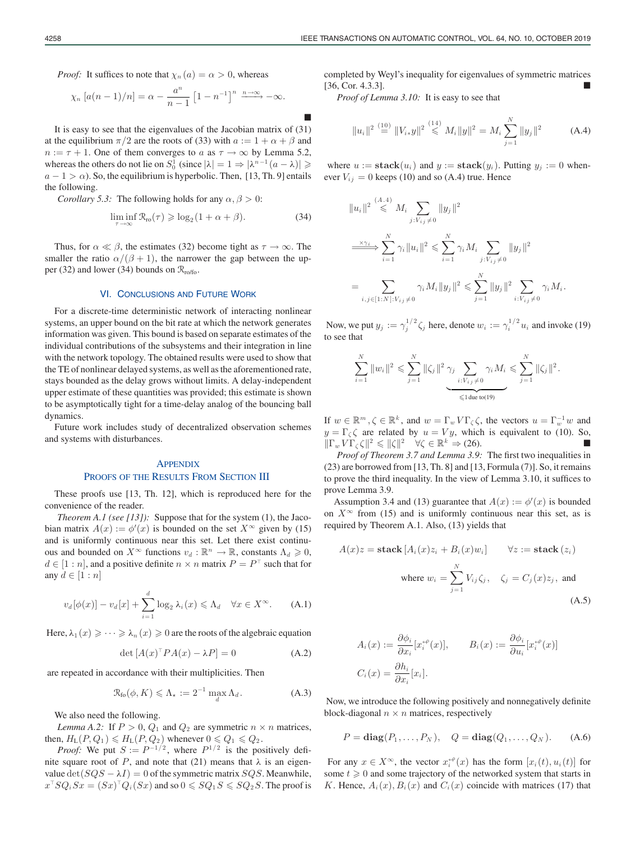*Proof:* It suffices to note that  $\chi_n(a) = \alpha > 0$ , whereas

$$
\chi_n\left[a(n-1)/n\right]=\alpha-\frac{a^n}{n-1}\left[1-n^{-1}\right]^n\xrightarrow{n\to\infty}-\infty.
$$

It is easy to see that the eigenvalues of the Jacobian matrix of (31) at the equilibrium  $\pi/2$  are the roots of (33) with  $a := 1 + \alpha + \beta$  and  $n := \tau + 1$ . One of them converges to a as  $\tau \to \infty$  by Lemma 5.2, whereas the others do not lie on  $S_0^1$  (since  $|\lambda| = 1 \Rightarrow |\lambda^{n-1}(a - \lambda)| \geq$  $a - 1 > \alpha$ ). So, the equilibrium is hyperbolic. Then, [13, Th. 9] entails the following.

*Corollary 5.3:* The following holds for any  $\alpha$ ,  $\beta > 0$ :

$$
\liminf_{\tau \to \infty} \mathcal{R}_{\text{ro}}(\tau) \geqslant \log_2(1 + \alpha + \beta). \tag{34}
$$

Thus, for  $\alpha \ll \beta$ , the estimates (32) become tight as  $\tau \to \infty$ . The smaller the ratio  $\alpha/(\beta + 1)$ , the narrower the gap between the upper (32) and lower (34) bounds on  $\mathcal{R}_{\text{ro/fo}}$ .

#### VI. CONCLUSIONS AND FUTURE WORK

For a discrete-time deterministic network of interacting nonlinear systems, an upper bound on the bit rate at which the network generates information was given. This bound is based on separate estimates of the individual contributions of the subsystems and their integration in line with the network topology. The obtained results were used to show that the TE of nonlinear delayed systems, as well as the aforementioned rate, stays bounded as the delay grows without limits. A delay-independent upper estimate of these quantities was provided; this estimate is shown to be asymptotically tight for a time-delay analog of the bouncing ball dynamics.

Future work includes study of decentralized observation schemes and systems with disturbances.

## **APPENDIX** PROOFS OF THE RESULTS FROM SECTION III

These proofs use [13, Th. 12], which is reproduced here for the convenience of the reader.

*Theorem A.1 (see [13]):* Suppose that for the system (1), the Jacobian matrix  $A(x) := \phi'(x)$  is bounded on the set  $X^{\infty}$  given by (15) and is uniformly continuous near this set. Let there exist continuous and bounded on  $X^{\infty}$  functions  $v_d : \mathbb{R}^n \to \mathbb{R}$ , constants  $\Lambda_d \geq 0$ ,  $d \in [1:n]$ , and a positive definite  $n \times n$  matrix  $P = P<sup>T</sup>$  such that for any  $d \in [1:n]$ 

$$
v_d[\phi(x)] - v_d[x] + \sum_{i=1}^d \log_2 \lambda_i(x) \le \Lambda_d \quad \forall x \in X^\infty.
$$
 (A.1)

Here,  $\lambda_1(x) \geqslant \cdots \geqslant \lambda_n(x) \geqslant 0$  are the roots of the algebraic equation

$$
\det\left[A(x)^{\top}PA(x) - \lambda P\right] = 0\tag{A.2}
$$

are repeated in accordance with their multiplicities. Then

$$
\mathcal{R}_{\text{fo}}(\phi, K) \leq \Lambda_{\star} := 2^{-1} \max_{d} \Lambda_{d}.
$$
 (A.3)

We also need the following.

*Lemma A.2:* If  $P > 0$ ,  $Q_1$  and  $Q_2$  are symmetric  $n \times n$  matrices, then,  $H_L(P,Q_1) \le H_L(P,Q_2)$  whenever  $0 \le Q_1 \le Q_2$ .

*Proof:* We put  $S := P^{-1/2}$ , where  $P^{1/2}$  is the positively definite square root of P, and note that (21) means that  $\lambda$  is an eigenvalue  $\det(SQS - \lambda I) = 0$  of the symmetric matrix  $SQS$ . Meanwhile,  $x^{\top}SQ_iSx = (Sx)^{\top}Q_i(Sx)$  and so  $0 \leqslant SQ_1S \leqslant SQ_2S$ . The proof is completed by Weyl's inequality for eigenvalues of symmetric matrices [36, Cor. 4.3.3].

*Proof of Lemma 3.10:* It is easy to see that

$$
||u_i||^2 \stackrel{(10)}{=} ||V_{i*}y||^2 \stackrel{(14)}{\leq} M_i ||y||^2 = M_i \sum_{j=1}^N ||y_j||^2
$$
 (A.4)

where  $u := \textbf{stack}(u_i)$  and  $y := \textbf{stack}(y_i)$ . Putting  $y_i := 0$  whenever  $V_{ij} = 0$  keeps (10) and so (A.4) true. Hence

$$
||u_i||^2 \leq M_i \sum_{j: V_{ij} \neq 0} ||y_j||^2
$$
  
\n
$$
\xrightarrow{\times \gamma_i} \sum_{i=1}^N \gamma_i ||u_i||^2 \leq \sum_{i=1}^N \gamma_i M_i \sum_{j: V_{ij} \neq 0} ||y_j||^2
$$
  
\n
$$
= \sum_{i,j \in [1:N]: V_{ij} \neq 0} \gamma_i M_i ||y_j||^2 \leq \sum_{j=1}^N ||y_j||^2 \sum_{i: V_{ij} \neq 0} \gamma_i M_i.
$$

Now, we put  $y_j := \gamma_j^{1/2} \zeta_j$  here, denote  $w_i := \gamma_i^{1/2} u_i$  and invoke (19) to see that

$$
\sum_{i=1}^{N} \|w_i\|^2 \leq \sum_{j=1}^{N} \|\zeta_j\|^2 \gamma_j \sum_{\substack{i: V_{ij} \neq 0 \\ \leq \text{1 due to (19)}}} \gamma_i M_i \leq \sum_{j=1}^{N} \|\zeta_j\|^2.
$$

If  $w \in \mathbb{R}^m$ ,  $\zeta \in \mathbb{R}^k$ , and  $w = \Gamma_w V \Gamma_{\zeta} \zeta$ , the vectors  $u = \Gamma_w^{-1} w$  and  $y = \Gamma_{\zeta} \zeta$  are related by  $u = Vy$ , which is equivalent to (10). So,  $\|\Gamma_w V \Gamma_\zeta \zeta\|^2 \leq \|\zeta\|^2 \quad \forall \zeta \in \mathbb{R}^k \Rightarrow (26).$ 

*Proof of Theorem 3.7 and Lemma 3.9:* The first two inequalities in (23) are borrowed from [13, Th. 8] and [13, Formula (7)]. So, it remains to prove the third inequality. In the view of Lemma 3.10, it suffices to prove Lemma 3.9.

Assumption 3.4 and (13) guarantee that  $A(x) := \phi'(x)$  is bounded on  $X^{\infty}$  from (15) and is uniformly continuous near this set, as is required by Theorem A.1. Also, (13) yields that

$$
A(x)z = \text{stack}[A_i(x)z_i + B_i(x)w_i] \qquad \forall z := \text{stack}(z_i)
$$
  
where  $w_i = \sum_{j=1}^N V_{ij} \zeta_j$ ,  $\zeta_j = C_j(x)z_j$ , and (A.5)

$$
A_i(x) := \frac{\partial \phi_i}{\partial x_i} [x_i^{+\rho}(x)], \qquad B_i(x) := \frac{\partial \phi_i}{\partial u_i} [x_i^{+\rho}(x)]
$$
  

$$
C_i(x) = \frac{\partial h_i}{\partial x_i} [x_i].
$$

Now, we introduce the following positively and nonnegatively definite block-diagonal  $n \times n$  matrices, respectively

$$
P = diag(P_1, ..., P_N), \quad Q = diag(Q_1, ..., Q_N).
$$
 (A.6)

For any  $x \in X^{\infty}$ , the vector  $x_i^{\leftrightarrow}(x)$  has the form  $[x_i(t), u_i(t)]$  for some  $t \geq 0$  and some trajectory of the networked system that starts in K. Hence,  $A_i(x)$ ,  $B_i(x)$  and  $C_i(x)$  coincide with matrices (17) that